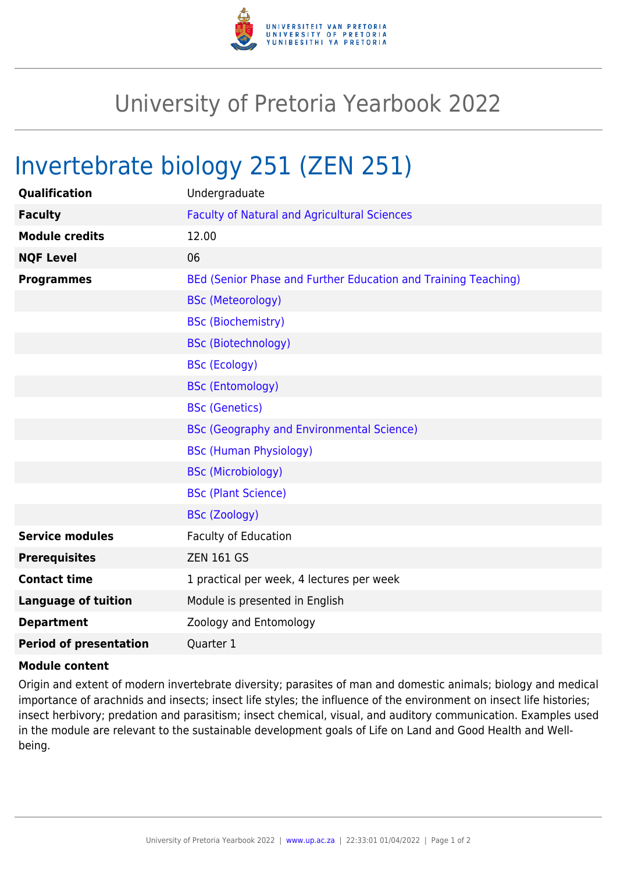

## University of Pretoria Yearbook 2022

## Invertebrate biology 251 (ZEN 251)

| Qualification                 | Undergraduate                                                  |
|-------------------------------|----------------------------------------------------------------|
| <b>Faculty</b>                | <b>Faculty of Natural and Agricultural Sciences</b>            |
| <b>Module credits</b>         | 12.00                                                          |
| <b>NQF Level</b>              | 06                                                             |
| <b>Programmes</b>             | BEd (Senior Phase and Further Education and Training Teaching) |
|                               | <b>BSc (Meteorology)</b>                                       |
|                               | <b>BSc (Biochemistry)</b>                                      |
|                               | <b>BSc (Biotechnology)</b>                                     |
|                               | <b>BSc (Ecology)</b>                                           |
|                               | <b>BSc (Entomology)</b>                                        |
|                               | <b>BSc (Genetics)</b>                                          |
|                               | <b>BSc (Geography and Environmental Science)</b>               |
|                               | <b>BSc (Human Physiology)</b>                                  |
|                               | <b>BSc (Microbiology)</b>                                      |
|                               | <b>BSc (Plant Science)</b>                                     |
|                               | <b>BSc (Zoology)</b>                                           |
| <b>Service modules</b>        | <b>Faculty of Education</b>                                    |
| <b>Prerequisites</b>          | <b>ZEN 161 GS</b>                                              |
| <b>Contact time</b>           | 1 practical per week, 4 lectures per week                      |
| <b>Language of tuition</b>    | Module is presented in English                                 |
| <b>Department</b>             | Zoology and Entomology                                         |
| <b>Period of presentation</b> | Quarter 1                                                      |

## **Module content**

Origin and extent of modern invertebrate diversity; parasites of man and domestic animals; biology and medical importance of arachnids and insects; insect life styles; the influence of the environment on insect life histories; insect herbivory; predation and parasitism; insect chemical, visual, and auditory communication. Examples used in the module are relevant to the sustainable development goals of Life on Land and Good Health and Wellbeing.